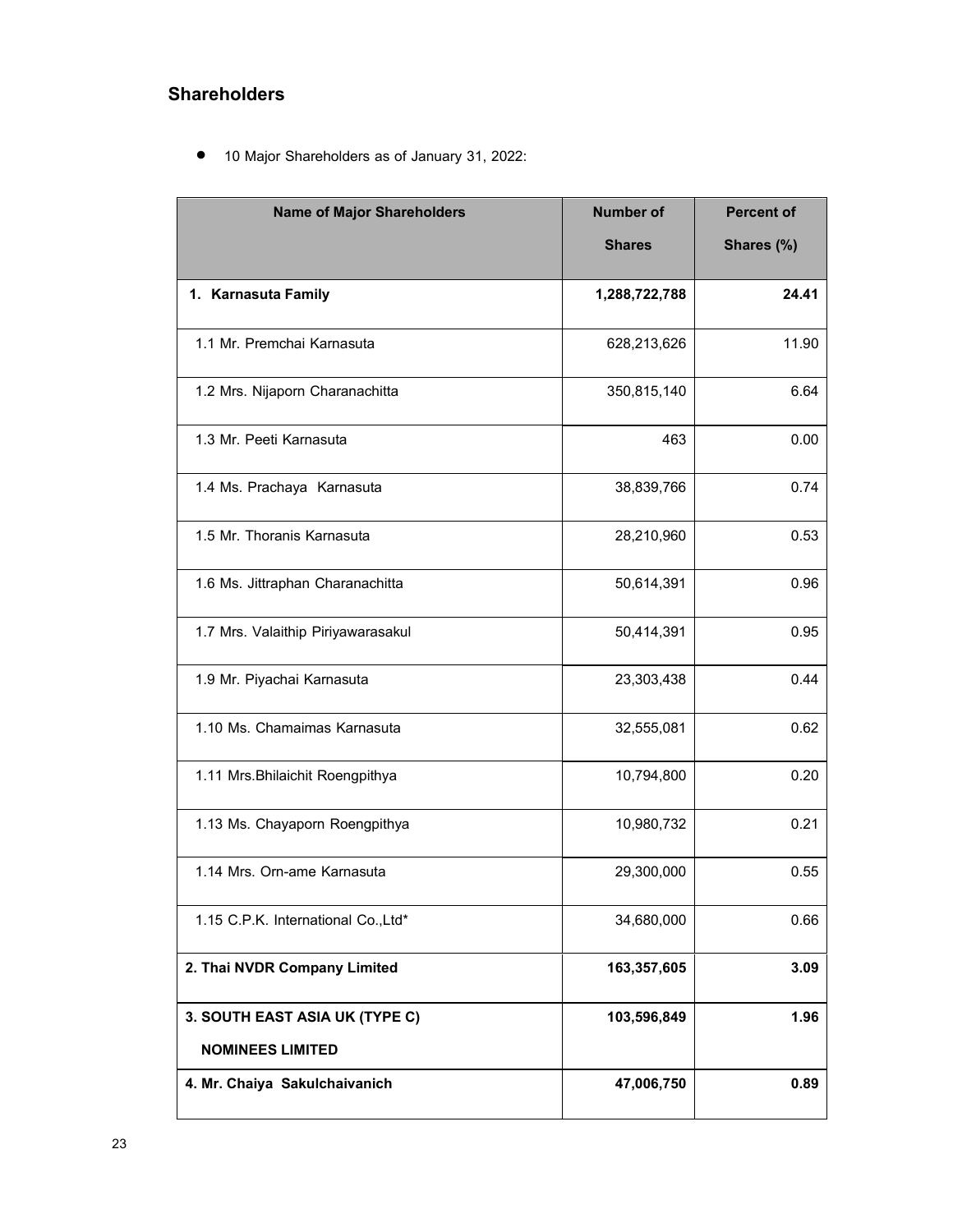## **Shareholders**

• 10 Major Shareholders as of January 31, 2022:

| <b>Name of Major Shareholders</b>   | <b>Number of</b> |            |
|-------------------------------------|------------------|------------|
|                                     | <b>Shares</b>    | Shares (%) |
| 1. Karnasuta Family                 | 1,288,722,788    | 24.41      |
| 1.1 Mr. Premchai Karnasuta          | 628,213,626      | 11.90      |
| 1.2 Mrs. Nijaporn Charanachitta     | 350,815,140      | 6.64       |
| 1.3 Mr. Peeti Karnasuta             | 463              | 0.00       |
| 1.4 Ms. Prachaya Karnasuta          | 38,839,766       | 0.74       |
| 1.5 Mr. Thoranis Karnasuta          | 28,210,960       | 0.53       |
| 1.6 Ms. Jittraphan Charanachitta    | 50,614,391       | 0.96       |
| 1.7 Mrs. Valaithip Piriyawarasakul  | 50,414,391       | 0.95       |
| 1.9 Mr. Piyachai Karnasuta          | 23,303,438       | 0.44       |
| 1.10 Ms. Chamaimas Karnasuta        | 32,555,081       | 0.62       |
| 1.11 Mrs. Bhilaichit Roengpithya    | 10,794,800       | 0.20       |
| 1.13 Ms. Chayaporn Roengpithya      | 10,980,732       | 0.21       |
| 1.14 Mrs. Orn-ame Karnasuta         | 29,300,000       | 0.55       |
| 1.15 C.P.K. International Co., Ltd* | 34,680,000       | 0.66       |
| 2. Thai NVDR Company Limited        | 163,357,605      | 3.09       |
| 3. SOUTH EAST ASIA UK (TYPE C)      | 103,596,849      | 1.96       |
| <b>NOMINEES LIMITED</b>             |                  |            |
| 4. Mr. Chaiya Sakulchaivanich       | 47,006,750       | 0.89       |